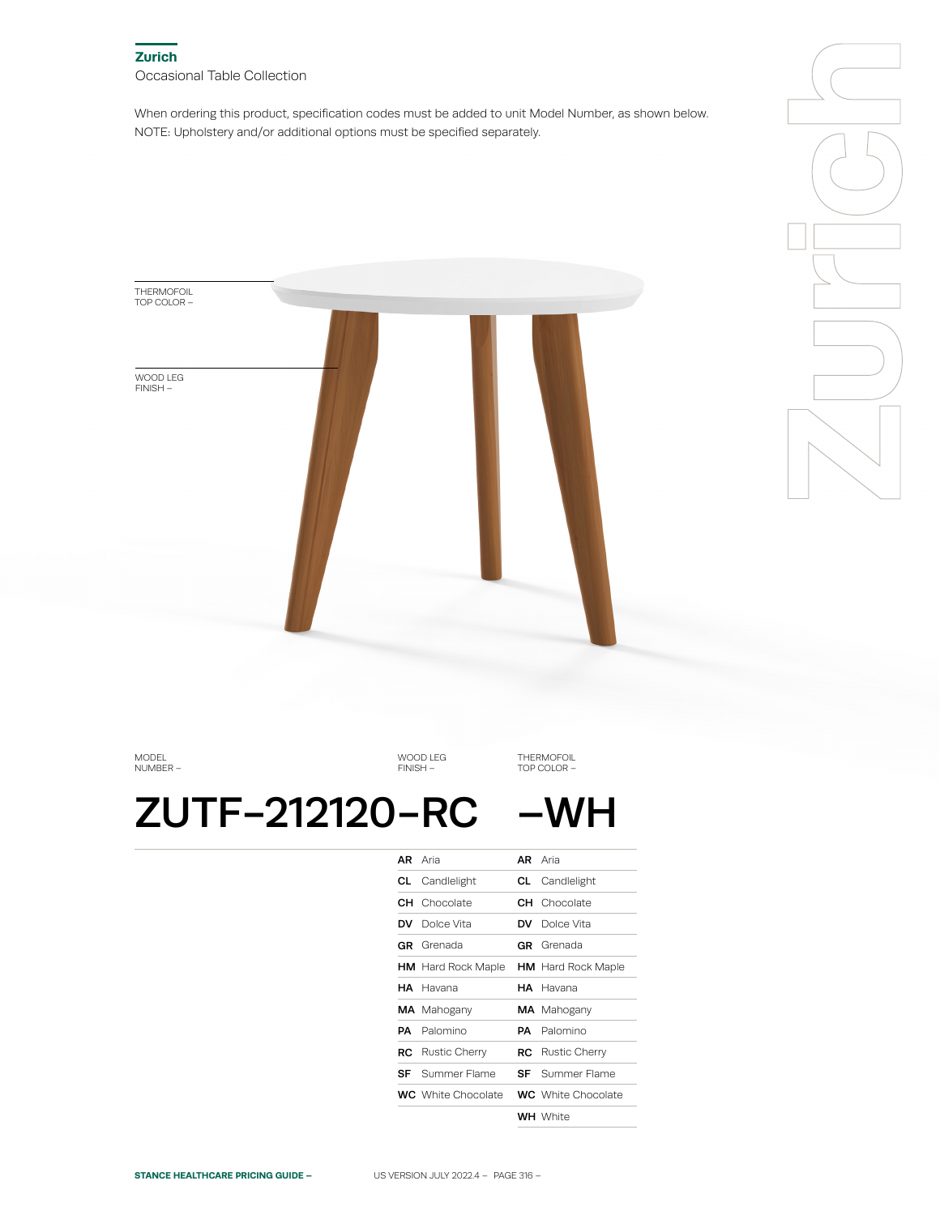When ordering this product, specification codes must be added to unit Model Number, as shown below. NOTE: Upholstery and/or additional options must be specified separately.





MODEL NUMBER –

WOOD LEG FINISH –

THERMOFOIL TOP COLOR –

# ZUTF-212120-RC -WH

| <b>AR</b> Aria                                      | <b>AR</b> Aria            |
|-----------------------------------------------------|---------------------------|
| <b>CL</b> Candlelight                               | <b>CL</b> Candlelight     |
| <b>CH</b> Chocolate                                 | <b>CH</b> Chocolate       |
| <b>DV</b> Dolce Vita                                | <b>DV</b> Dolce Vita      |
| <b>GR</b> Grenada                                   | <b>GR</b> Grenada         |
| <b>HM</b> Hard Rock Maple                           | <b>HM</b> Hard Rock Maple |
| HA Havana                                           | HA Havana                 |
| <b>MA</b> Mahogany                                  | <b>MA</b> Mahogany        |
| <b>PA</b> Palomino                                  | <b>PA</b> Palomino        |
| <b>RC</b> Rustic Cherry                             | <b>RC</b> Rustic Cherry   |
| <b>SF</b> Summer Flame                              | <b>SF</b> Summer Flame    |
| <b>WC</b> White Chocolate <b>WC</b> White Chocolate |                           |
|                                                     | <b>WH</b> White           |